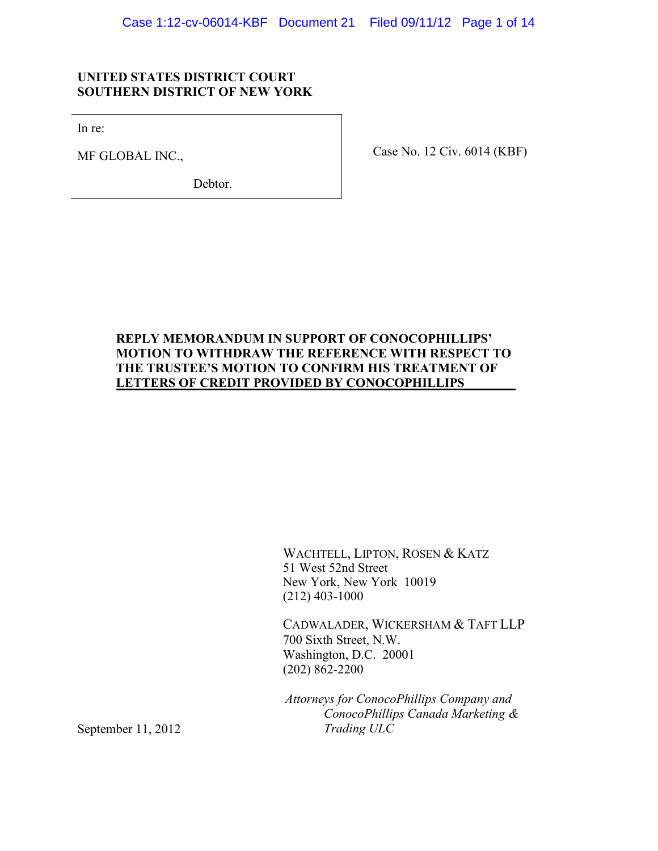## **UNITED STATES DISTRICT COURT SOUTHERN DISTRICT OF NEW YORK**

In re:

MF GLOBAL INC.,

Debtor.

Case No. 12 Civ. 6014 (KBF)

# **REPLY MEMORANDUM IN SUPPORT OF CONOCOPHILLIPS' MOTION TO WITHDRAW THE REFERENCE WITH RESPECT TO THE TRUSTEE'S MOTION TO CONFIRM HIS TREATMENT OF LETTERS OF CREDIT PROVIDED BY CONOCOPHILLIPS \_\_**

WACHTELL, LIPTON, ROSEN & KATZ 51 West 52nd Street New York, New York 10019 (212) 403-1000

CADWALADER, WICKERSHAM & TAFT LLP 700 Sixth Street, N.W. Washington, D.C. 20001 (202) 862-2200

*Attorneys for ConocoPhillips Company and ConocoPhillips Canada Marketing & Trading ULC*

September 11, 2012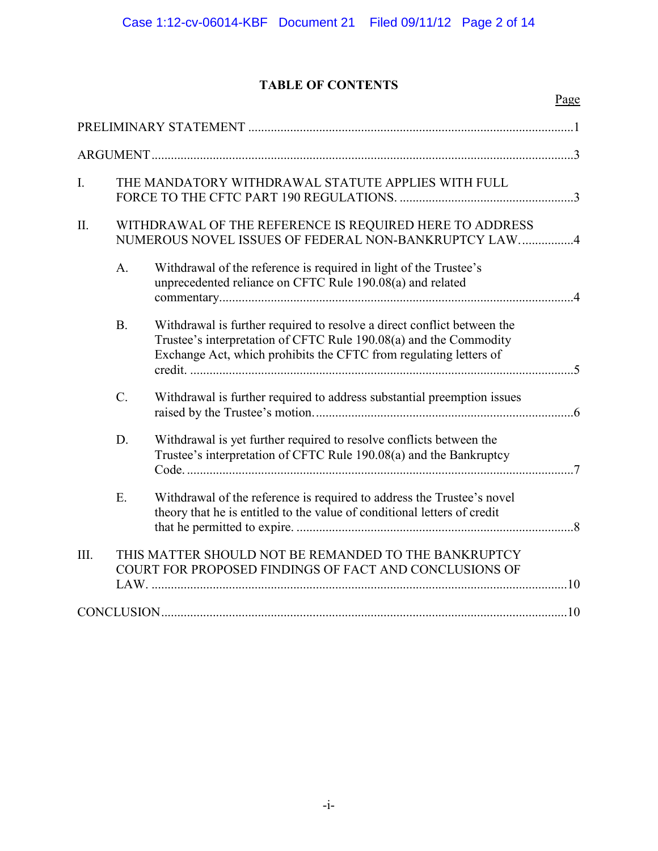# **TABLE OF CONTENTS**

Page

| I.   |                  | THE MANDATORY WITHDRAWAL STATUTE APPLIES WITH FULL                                                                                                                                                                |                |
|------|------------------|-------------------------------------------------------------------------------------------------------------------------------------------------------------------------------------------------------------------|----------------|
| Π.   |                  | WITHDRAWAL OF THE REFERENCE IS REQUIRED HERE TO ADDRESS<br>NUMEROUS NOVEL ISSUES OF FEDERAL NON-BANKRUPTCY LAW4                                                                                                   |                |
|      | A.               | Withdrawal of the reference is required in light of the Trustee's<br>unprecedented reliance on CFTC Rule 190.08(a) and related                                                                                    | $\overline{4}$ |
|      | B.               | Withdrawal is further required to resolve a direct conflict between the<br>Trustee's interpretation of CFTC Rule 190.08(a) and the Commodity<br>Exchange Act, which prohibits the CFTC from regulating letters of |                |
|      | $\overline{C}$ . | Withdrawal is further required to address substantial preemption issues                                                                                                                                           |                |
|      | D.               | Withdrawal is yet further required to resolve conflicts between the<br>Trustee's interpretation of CFTC Rule 190.08(a) and the Bankruptcy                                                                         |                |
|      | E.               | Withdrawal of the reference is required to address the Trustee's novel<br>theory that he is entitled to the value of conditional letters of credit                                                                |                |
| III. |                  | THIS MATTER SHOULD NOT BE REMANDED TO THE BANKRUPTCY<br>COURT FOR PROPOSED FINDINGS OF FACT AND CONCLUSIONS OF                                                                                                    |                |
|      |                  |                                                                                                                                                                                                                   |                |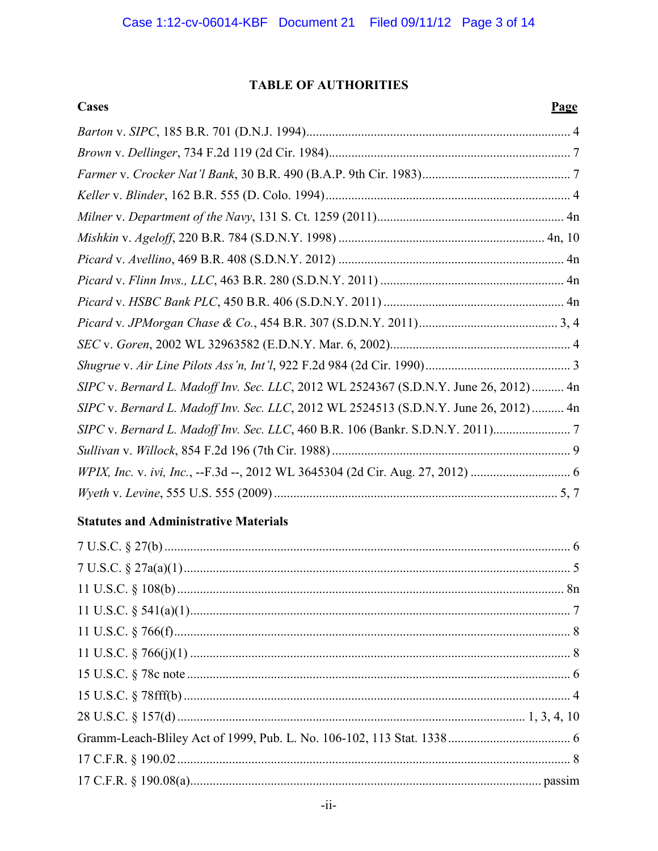# **TABLE OF AUTHORITIES**

| Cases                                                                                | <b>Page</b> |
|--------------------------------------------------------------------------------------|-------------|
|                                                                                      |             |
|                                                                                      |             |
|                                                                                      |             |
|                                                                                      |             |
|                                                                                      |             |
|                                                                                      |             |
|                                                                                      |             |
|                                                                                      |             |
|                                                                                      |             |
|                                                                                      |             |
|                                                                                      |             |
|                                                                                      |             |
| SIPC v. Bernard L. Madoff Inv. Sec. LLC, 2012 WL 2524367 (S.D.N.Y. June 26, 2012) 4n |             |
| SIPC v. Bernard L. Madoff Inv. Sec. LLC, 2012 WL 2524513 (S.D.N.Y. June 26, 2012) 4n |             |
| SIPC v. Bernard L. Madoff Inv. Sec. LLC, 460 B.R. 106 (Bankr. S.D.N.Y. 2011)         |             |
|                                                                                      |             |
|                                                                                      |             |
|                                                                                      |             |

# **Statutes and Administrative Materials**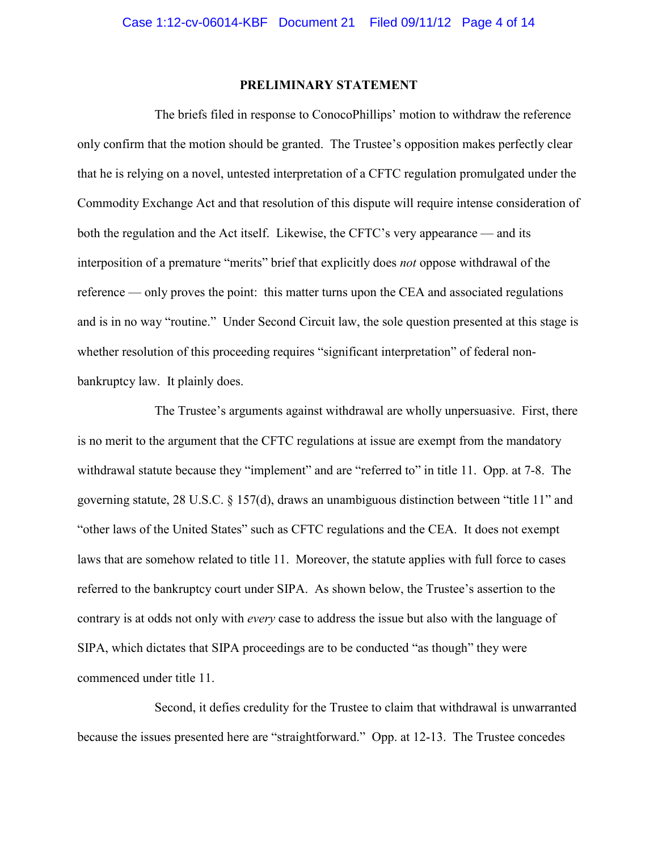#### **PRELIMINARY STATEMENT**

<span id="page-3-0"></span>The briefs filed in response to ConocoPhillips' motion to withdraw the reference only confirm that the motion should be granted. The Trustee's opposition makes perfectly clear that he is relying on a novel, untested interpretation of a CFTC regulation promulgated under the Commodity Exchange Act and that resolution of this dispute will require intense consideration of both the regulation and the Act itself. Likewise, the CFTC's very appearance — and its interposition of a premature "merits" brief that explicitly does *not* oppose withdrawal of the reference — only proves the point: this matter turns upon the CEA and associated regulations and is in no way "routine." Under Second Circuit law, the sole question presented at this stage is whether resolution of this proceeding requires "significant interpretation" of federal nonbankruptcy law. It plainly does.

The Trustee's arguments against withdrawal are wholly unpersuasive. First, there is no merit to the argument that the CFTC regulations at issue are exempt from the mandatory withdrawal statute because they "implement" and are "referred to" in title 11. Opp. at 7-8. The governing statute, 28 U.S.C. § 157(d), draws an unambiguous distinction between "title 11" and "other laws of the United States" such as CFTC regulations and the CEA. It does not exempt laws that are somehow related to title 11. Moreover, the statute applies with full force to cases referred to the bankruptcy court under SIPA. As shown below, the Trustee's assertion to the contrary is at odds not only with *every* case to address the issue but also with the language of SIPA, which dictates that SIPA proceedings are to be conducted "as though" they were commenced under title 11.

Second, it defies credulity for the Trustee to claim that withdrawal is unwarranted because the issues presented here are "straightforward." Opp. at 12-13. The Trustee concedes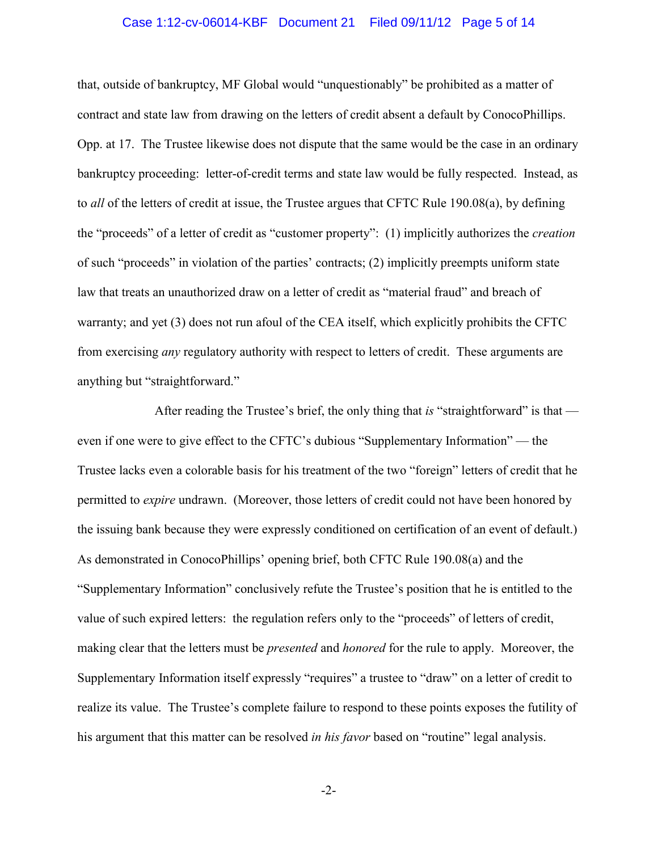#### Case 1:12-cv-06014-KBF Document 21 Filed 09/11/12 Page 5 of 14

that, outside of bankruptcy, MF Global would "unquestionably" be prohibited as a matter of contract and state law from drawing on the letters of credit absent a default by ConocoPhillips. Opp. at 17. The Trustee likewise does not dispute that the same would be the case in an ordinary bankruptcy proceeding: letter-of-credit terms and state law would be fully respected. Instead, as to *all* of the letters of credit at issue, the Trustee argues that CFTC Rule 190.08(a), by defining the "proceeds" of a letter of credit as "customer property": (1) implicitly authorizes the *creation* of such "proceeds" in violation of the parties' contracts; (2) implicitly preempts uniform state law that treats an unauthorized draw on a letter of credit as "material fraud" and breach of warranty; and yet (3) does not run afoul of the CEA itself, which explicitly prohibits the CFTC from exercising *any* regulatory authority with respect to letters of credit. These arguments are anything but "straightforward."

After reading the Trustee's brief, the only thing that *is* "straightforward" is that even if one were to give effect to the CFTC's dubious "Supplementary Information" — the Trustee lacks even a colorable basis for his treatment of the two "foreign" letters of credit that he permitted to *expire* undrawn. (Moreover, those letters of credit could not have been honored by the issuing bank because they were expressly conditioned on certification of an event of default.) As demonstrated in ConocoPhillips' opening brief, both CFTC Rule 190.08(a) and the "Supplementary Information" conclusively refute the Trustee's position that he is entitled to the value of such expired letters: the regulation refers only to the "proceeds" of letters of credit, making clear that the letters must be *presented* and *honored* for the rule to apply. Moreover, the Supplementary Information itself expressly "requires" a trustee to "draw" on a letter of credit to realize its value. The Trustee's complete failure to respond to these points exposes the futility of his argument that this matter can be resolved *in his favor* based on "routine" legal analysis.

-2-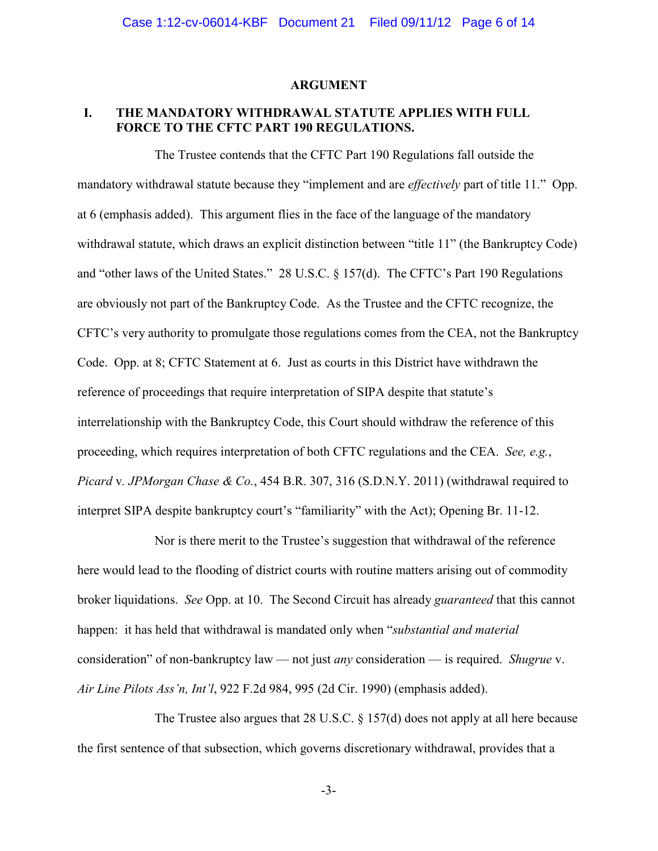#### **ARGUMENT**

## <span id="page-5-1"></span><span id="page-5-0"></span>**I. THE MANDATORY WITHDRAWAL STATUTE APPLIES WITH FULL FORCE TO THE CFTC PART 190 REGULATIONS.**

The Trustee contends that the CFTC Part 190 Regulations fall outside the mandatory withdrawal statute because they "implement and are *effectively* part of title 11." Opp. at 6 (emphasis added). This argument flies in the face of the language of the mandatory withdrawal statute, which draws an explicit distinction between "title 11" (the Bankruptcy Code) and "other laws of the United States." 28 U.S.C. § 157(d). The CFTC's Part 190 Regulations are obviously not part of the Bankruptcy Code. As the Trustee and the CFTC recognize, the CFTC's very authority to promulgate those regulations comes from the CEA, not the Bankruptcy Code. Opp. at 8; CFTC Statement at 6. Just as courts in this District have withdrawn the reference of proceedings that require interpretation of SIPA despite that statute's interrelationship with the Bankruptcy Code, this Court should withdraw the reference of this proceeding, which requires interpretation of both CFTC regulations and the CEA. *See, e.g.*, *Picard* v*. JPMorgan Chase & Co.*, 454 B.R. 307, 316 (S.D.N.Y. 2011) (withdrawal required to interpret SIPA despite bankruptcy court's "familiarity" with the Act); Opening Br. 11-12.

Nor is there merit to the Trustee's suggestion that withdrawal of the reference here would lead to the flooding of district courts with routine matters arising out of commodity broker liquidations. *See* Opp. at 10. The Second Circuit has already *guaranteed* that this cannot happen: it has held that withdrawal is mandated only when "*substantial and material* consideration" of non-bankruptcy law — not just *any* consideration — is required. *Shugrue* v. *Air Line Pilots Ass'n, Int'l*, 922 F.2d 984, 995 (2d Cir. 1990) (emphasis added).

The Trustee also argues that 28 U.S.C. § 157(d) does not apply at all here because the first sentence of that subsection, which governs discretionary withdrawal, provides that a

-3-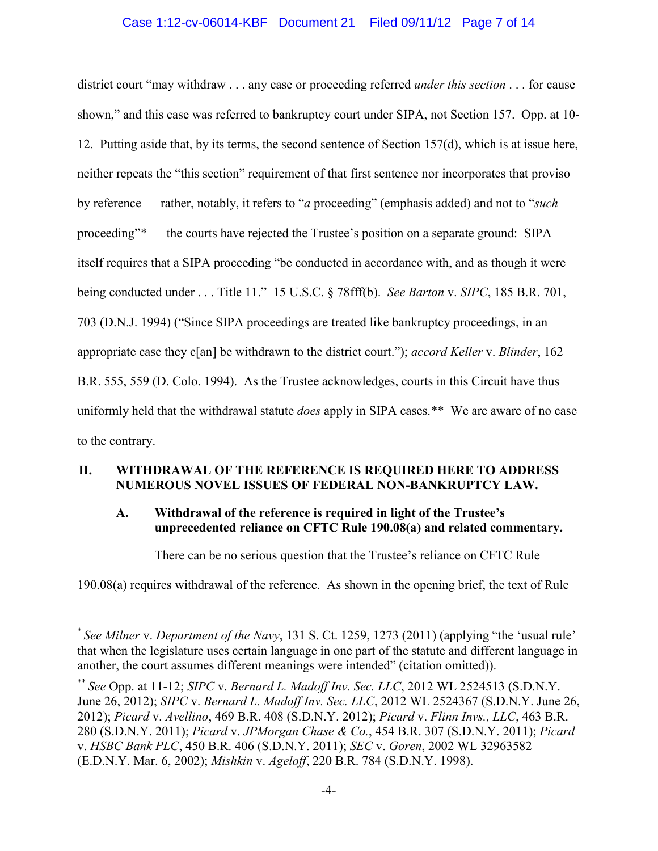## Case 1:12-cv-06014-KBF Document 21 Filed 09/11/12 Page 7 of 14

district court "may withdraw . . . any case or proceeding referred *under this section* . . . for cause shown," and this case was referred to bankruptcy court under SIPA, not Section 157. Opp. at 10- 12. Putting aside that, by its terms, the second sentence of Section 157(d), which is at issue here, neither repeats the "this section" requirement of that first sentence nor incorporates that proviso by reference — rather, notably, it refers to "*a* proceeding" (emphasis added) and not to "*such* proceeding"[\\*](#page-6-2) — the courts have rejected the Trustee's position on a separate ground: SIPA itself requires that a SIPA proceeding "be conducted in accordance with, and as though it were being conducted under . . . Title 11." 15 U.S.C. § 78fff(b). *See Barton* v. *SIPC*, 185 B.R. 701, 703 (D.N.J. 1994) ("Since SIPA proceedings are treated like bankruptcy proceedings, in an appropriate case they c[an] be withdrawn to the district court."); *accord Keller* v. *Blinder*, 162 B.R. 555, 559 (D. Colo. 1994). As the Trustee acknowledges, courts in this Circuit have thus uniformly held that the withdrawal statute *does* apply in SIPA cases.[\\*\\*](#page-6-3) We are aware of no case to the contrary.

## <span id="page-6-0"></span>**II. WITHDRAWAL OF THE REFERENCE IS REQUIRED HERE TO ADDRESS NUMEROUS NOVEL ISSUES OF FEDERAL NON-BANKRUPTCY LAW.**

## <span id="page-6-1"></span>**A. Withdrawal of the reference is required in light of the Trustee's unprecedented reliance on CFTC Rule 190.08(a) and related commentary.**

There can be no serious question that the Trustee's reliance on CFTC Rule

190.08(a) requires withdrawal of the reference. As shown in the opening brief, the text of Rule

<span id="page-6-2"></span> <sup>\*</sup> *See Milner* v. *Department of the Navy*, 131 S. Ct. 1259, 1273 (2011) (applying "the 'usual rule' that when the legislature uses certain language in one part of the statute and different language in another, the court assumes different meanings were intended" (citation omitted)).

<span id="page-6-3"></span><sup>\*\*</sup> *See* Opp. at 11-12; *SIPC* v. *Bernard L. Madoff Inv. Sec. LLC*, 2012 WL 2524513 (S.D.N.Y. June 26, 2012); *SIPC* v. *Bernard L. Madoff Inv. Sec. LLC*, 2012 WL 2524367 (S.D.N.Y. June 26, 2012); *Picard* v. *Avellino*, 469 B.R. 408 (S.D.N.Y. 2012); *Picard* v. *Flinn Invs., LLC*, 463 B.R. 280 (S.D.N.Y. 2011); *Picard* v. *JPMorgan Chase & Co.*, 454 B.R. 307 (S.D.N.Y. 2011); *Picard* v. *HSBC Bank PLC*, 450 B.R. 406 (S.D.N.Y. 2011); *SEC* v. *Goren*, 2002 WL 32963582 (E.D.N.Y. Mar. 6, 2002); *Mishkin* v. *Ageloff*, 220 B.R. 784 (S.D.N.Y. 1998).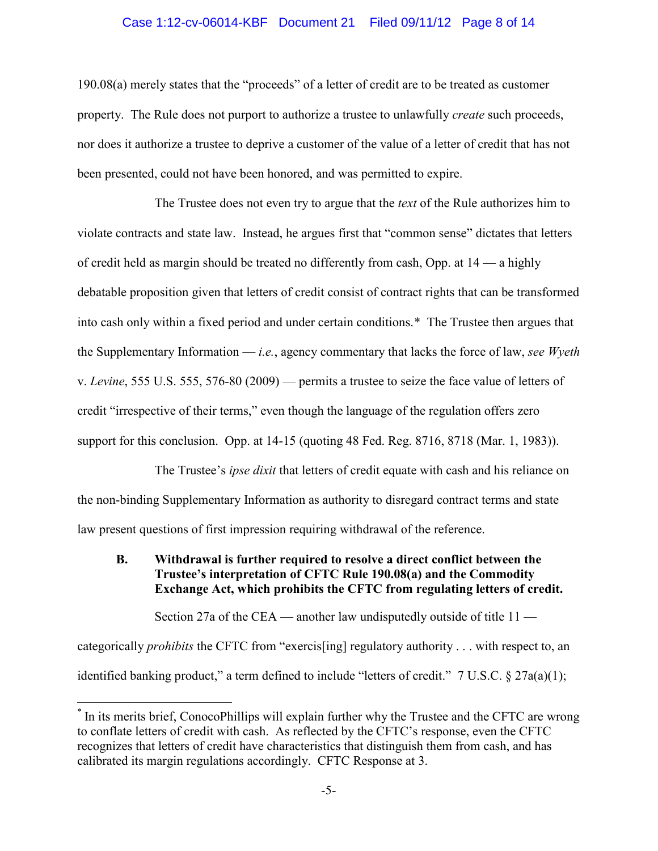#### Case 1:12-cv-06014-KBF Document 21 Filed 09/11/12 Page 8 of 14

190.08(a) merely states that the "proceeds" of a letter of credit are to be treated as customer property. The Rule does not purport to authorize a trustee to unlawfully *create* such proceeds, nor does it authorize a trustee to deprive a customer of the value of a letter of credit that has not been presented, could not have been honored, and was permitted to expire.

The Trustee does not even try to argue that the *text* of the Rule authorizes him to violate contracts and state law. Instead, he argues first that "common sense" dictates that letters of credit held as margin should be treated no differently from cash, Opp. at 14 — a highly debatable proposition given that letters of credit consist of contract rights that can be transformed into cash only within a fixed period and under certain conditions.[\\*](#page-7-1) The Trustee then argues that the Supplementary Information — *i.e.*, agency commentary that lacks the force of law, *see Wyeth*  v. *Levine*, 555 U.S. 555, 576-80 (2009) — permits a trustee to seize the face value of letters of credit "irrespective of their terms," even though the language of the regulation offers zero support for this conclusion. Opp. at 14-15 (quoting 48 Fed. Reg. 8716, 8718 (Mar. 1, 1983)).

The Trustee's *ipse dixit* that letters of credit equate with cash and his reliance on the non-binding Supplementary Information as authority to disregard contract terms and state law present questions of first impression requiring withdrawal of the reference.

### <span id="page-7-0"></span>**B. Withdrawal is further required to resolve a direct conflict between the Trustee's interpretation of CFTC Rule 190.08(a) and the Commodity Exchange Act, which prohibits the CFTC from regulating letters of credit.**

Section 27a of the CEA — another law undisputedly outside of title 11 categorically *prohibits* the CFTC from "exercis[ing] regulatory authority . . . with respect to, an identified banking product," a term defined to include "letters of credit." 7 U.S.C. § 27a(a)(1);

<span id="page-7-1"></span> <sup>\*</sup> In its merits brief, ConocoPhillips will explain further why the Trustee and the CFTC are wrong to conflate letters of credit with cash. As reflected by the CFTC's response, even the CFTC recognizes that letters of credit have characteristics that distinguish them from cash, and has calibrated its margin regulations accordingly. CFTC Response at 3.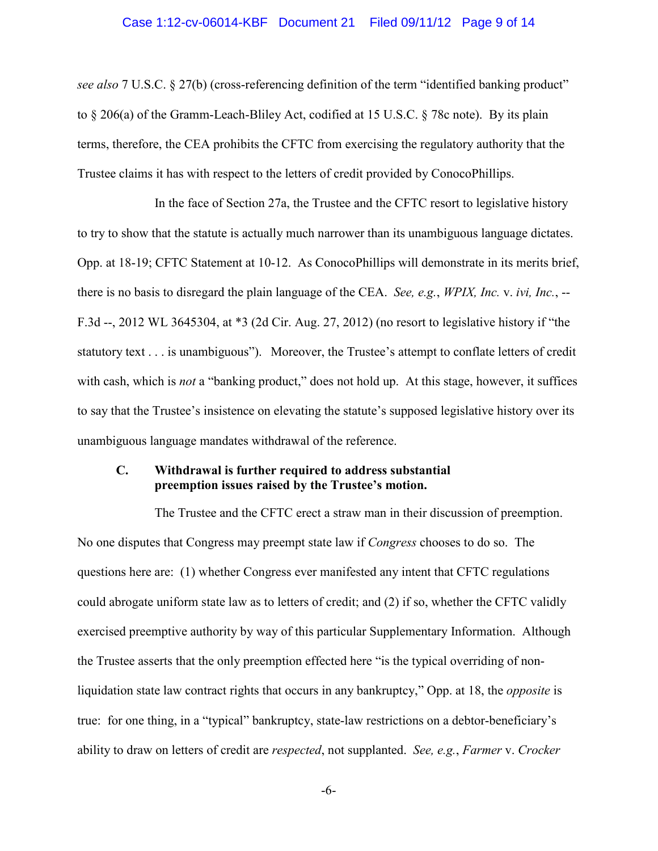#### Case 1:12-cv-06014-KBF Document 21 Filed 09/11/12 Page 9 of 14

*see also* 7 U.S.C. § 27(b) (cross-referencing definition of the term "identified banking product" to § 206(a) of the Gramm-Leach-Bliley Act, codified at 15 U.S.C. § 78c note). By its plain terms, therefore, the CEA prohibits the CFTC from exercising the regulatory authority that the Trustee claims it has with respect to the letters of credit provided by ConocoPhillips.

In the face of Section 27a, the Trustee and the CFTC resort to legislative history to try to show that the statute is actually much narrower than its unambiguous language dictates. Opp. at 18-19; CFTC Statement at 10-12. As ConocoPhillips will demonstrate in its merits brief, there is no basis to disregard the plain language of the CEA. *See, e.g.*, *WPIX, Inc.* v. *ivi, Inc.*, -- F.3d --, 2012 WL 3645304, at \*3 (2d Cir. Aug. 27, 2012) (no resort to legislative history if "the statutory text . . . is unambiguous"). Moreover, the Trustee's attempt to conflate letters of credit with cash, which is *not* a "banking product," does not hold up. At this stage, however, it suffices to say that the Trustee's insistence on elevating the statute's supposed legislative history over its unambiguous language mandates withdrawal of the reference.

#### <span id="page-8-0"></span>**C. Withdrawal is further required to address substantial preemption issues raised by the Trustee's motion.**

The Trustee and the CFTC erect a straw man in their discussion of preemption. No one disputes that Congress may preempt state law if *Congress* chooses to do so. The questions here are: (1) whether Congress ever manifested any intent that CFTC regulations could abrogate uniform state law as to letters of credit; and (2) if so, whether the CFTC validly exercised preemptive authority by way of this particular Supplementary Information. Although the Trustee asserts that the only preemption effected here "is the typical overriding of nonliquidation state law contract rights that occurs in any bankruptcy," Opp. at 18, the *opposite* is true: for one thing, in a "typical" bankruptcy, state-law restrictions on a debtor-beneficiary's ability to draw on letters of credit are *respected*, not supplanted. *See, e.g.*, *Farmer* v. *Crocker* 

-6-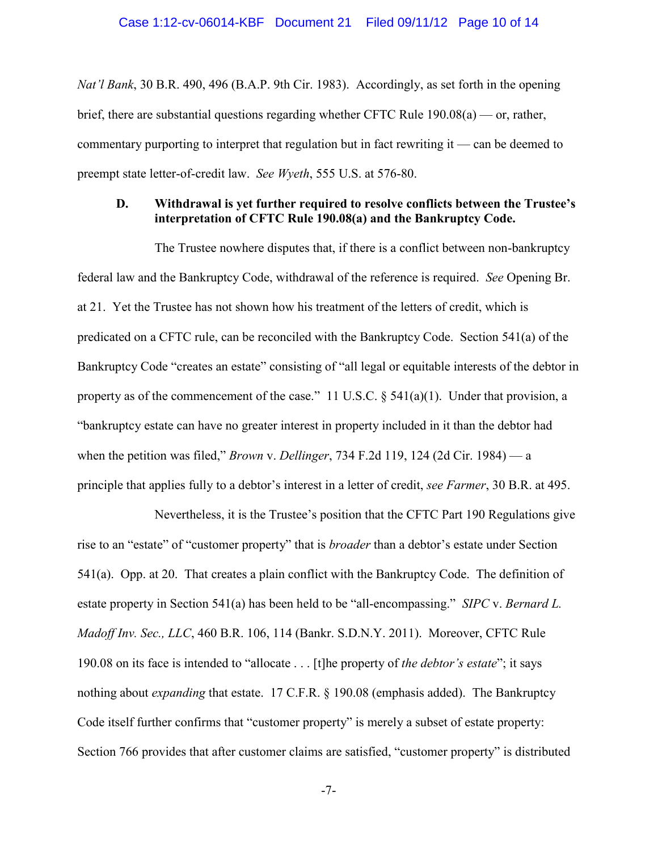*Nat'l Bank*, 30 B.R. 490, 496 (B.A.P. 9th Cir. 1983). Accordingly, as set forth in the opening brief, there are substantial questions regarding whether CFTC Rule 190.08(a) — or, rather, commentary purporting to interpret that regulation but in fact rewriting it — can be deemed to preempt state letter-of-credit law. *See Wyeth*, 555 U.S. at 576-80.

#### <span id="page-9-0"></span>**D. Withdrawal is yet further required to resolve conflicts between the Trustee's interpretation of CFTC Rule 190.08(a) and the Bankruptcy Code.**

The Trustee nowhere disputes that, if there is a conflict between non-bankruptcy federal law and the Bankruptcy Code, withdrawal of the reference is required. *See* Opening Br. at 21. Yet the Trustee has not shown how his treatment of the letters of credit, which is predicated on a CFTC rule, can be reconciled with the Bankruptcy Code. Section 541(a) of the Bankruptcy Code "creates an estate" consisting of "all legal or equitable interests of the debtor in property as of the commencement of the case." 11 U.S.C.  $\S$  541(a)(1). Under that provision, a "bankruptcy estate can have no greater interest in property included in it than the debtor had when the petition was filed," *Brown* v. *Dellinger*, 734 F.2d 119, 124 (2d Cir. 1984) — a principle that applies fully to a debtor's interest in a letter of credit, *see Farmer*, 30 B.R. at 495.

Nevertheless, it is the Trustee's position that the CFTC Part 190 Regulations give rise to an "estate" of "customer property" that is *broader* than a debtor's estate under Section 541(a). Opp. at 20. That creates a plain conflict with the Bankruptcy Code. The definition of estate property in Section 541(a) has been held to be "all-encompassing." *SIPC* v. *Bernard L. Madoff Inv. Sec., LLC*, 460 B.R. 106, 114 (Bankr. S.D.N.Y. 2011). Moreover, CFTC Rule 190.08 on its face is intended to "allocate . . . [t]he property of *the debtor's estate*"; it says nothing about *expanding* that estate. 17 C.F.R. § 190.08 (emphasis added). The Bankruptcy Code itself further confirms that "customer property" is merely a subset of estate property: Section 766 provides that after customer claims are satisfied, "customer property" is distributed

-7-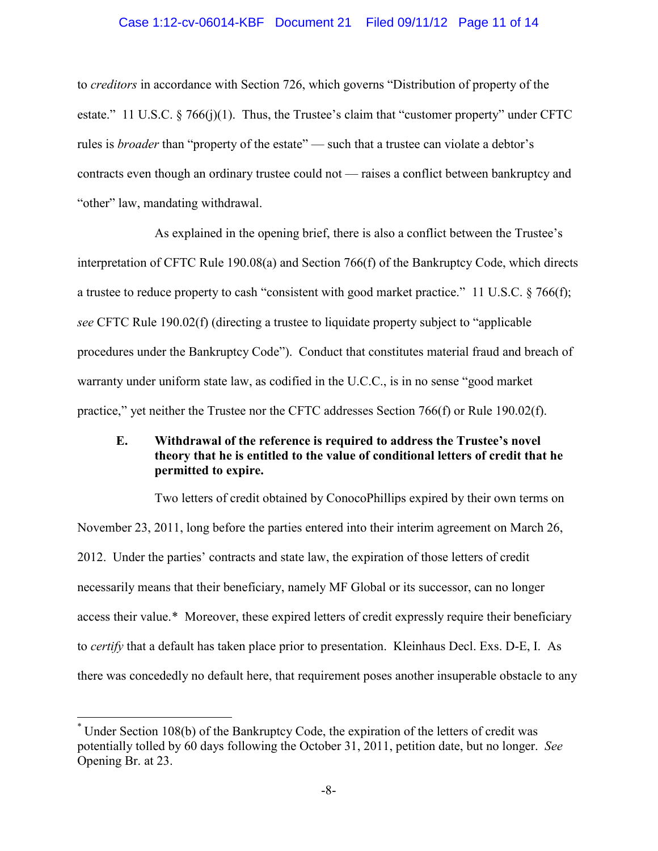## Case 1:12-cv-06014-KBF Document 21 Filed 09/11/12 Page 11 of 14

to *creditors* in accordance with Section 726, which governs "Distribution of property of the estate." 11 U.S.C.  $\frac{8}{766(i)}$ (1). Thus, the Trustee's claim that "customer property" under CFTC rules is *broader* than "property of the estate" — such that a trustee can violate a debtor's contracts even though an ordinary trustee could not — raises a conflict between bankruptcy and "other" law, mandating withdrawal.

As explained in the opening brief, there is also a conflict between the Trustee's interpretation of CFTC Rule 190.08(a) and Section 766(f) of the Bankruptcy Code, which directs a trustee to reduce property to cash "consistent with good market practice." 11 U.S.C. § 766(f); *see* CFTC Rule 190.02(f) (directing a trustee to liquidate property subject to "applicable procedures under the Bankruptcy Code"). Conduct that constitutes material fraud and breach of warranty under uniform state law, as codified in the U.C.C., is in no sense "good market practice," yet neither the Trustee nor the CFTC addresses Section 766(f) or Rule 190.02(f).

## <span id="page-10-0"></span>**E. Withdrawal of the reference is required to address the Trustee's novel theory that he is entitled to the value of conditional letters of credit that he permitted to expire.**

Two letters of credit obtained by ConocoPhillips expired by their own terms on November 23, 2011, long before the parties entered into their interim agreement on March 26, 2012. Under the parties' contracts and state law, the expiration of those letters of credit necessarily means that their beneficiary, namely MF Global or its successor, can no longer access their value.[\\*](#page-10-1) Moreover, these expired letters of credit expressly require their beneficiary to *certify* that a default has taken place prior to presentation. Kleinhaus Decl. Exs. D-E, I. As there was concededly no default here, that requirement poses another insuperable obstacle to any

<span id="page-10-1"></span> <sup>\*</sup> Under Section 108(b) of the Bankruptcy Code, the expiration of the letters of credit was potentially tolled by 60 days following the October 31, 2011, petition date, but no longer. *See* Opening Br. at 23.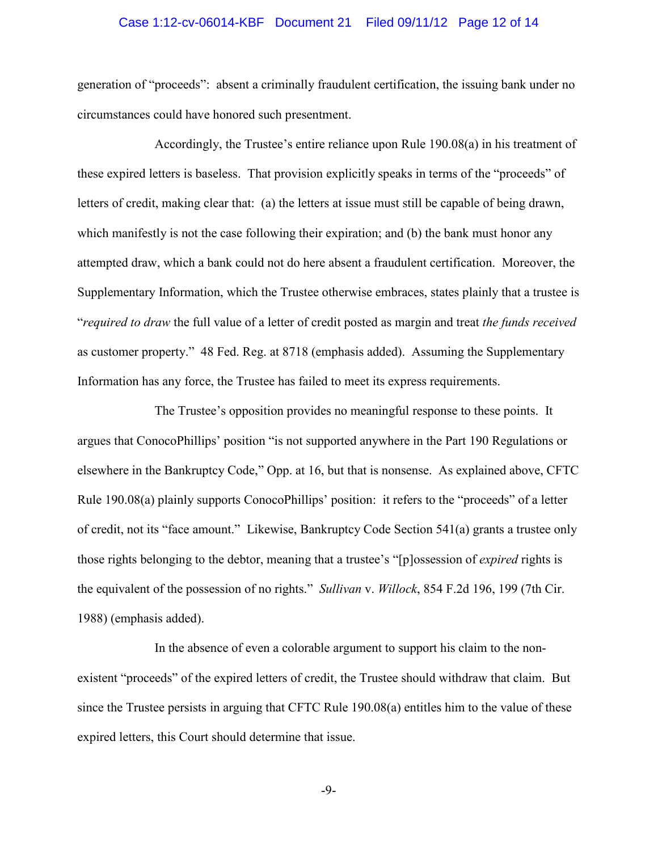#### Case 1:12-cv-06014-KBF Document 21 Filed 09/11/12 Page 12 of 14

generation of "proceeds": absent a criminally fraudulent certification, the issuing bank under no circumstances could have honored such presentment.

Accordingly, the Trustee's entire reliance upon Rule 190.08(a) in his treatment of these expired letters is baseless. That provision explicitly speaks in terms of the "proceeds" of letters of credit, making clear that: (a) the letters at issue must still be capable of being drawn, which manifestly is not the case following their expiration; and (b) the bank must honor any attempted draw, which a bank could not do here absent a fraudulent certification. Moreover, the Supplementary Information, which the Trustee otherwise embraces, states plainly that a trustee is "*required to draw* the full value of a letter of credit posted as margin and treat *the funds received* as customer property." 48 Fed. Reg. at 8718 (emphasis added). Assuming the Supplementary Information has any force, the Trustee has failed to meet its express requirements.

The Trustee's opposition provides no meaningful response to these points. It argues that ConocoPhillips' position "is not supported anywhere in the Part 190 Regulations or elsewhere in the Bankruptcy Code," Opp. at 16, but that is nonsense. As explained above, CFTC Rule 190.08(a) plainly supports ConocoPhillips' position: it refers to the "proceeds" of a letter of credit, not its "face amount." Likewise, Bankruptcy Code Section 541(a) grants a trustee only those rights belonging to the debtor, meaning that a trustee's "[p]ossession of *expired* rights is the equivalent of the possession of no rights." *Sullivan* v. *Willock*, 854 F.2d 196, 199 (7th Cir. 1988) (emphasis added).

In the absence of even a colorable argument to support his claim to the nonexistent "proceeds" of the expired letters of credit, the Trustee should withdraw that claim. But since the Trustee persists in arguing that CFTC Rule 190.08(a) entitles him to the value of these expired letters, this Court should determine that issue.

-9-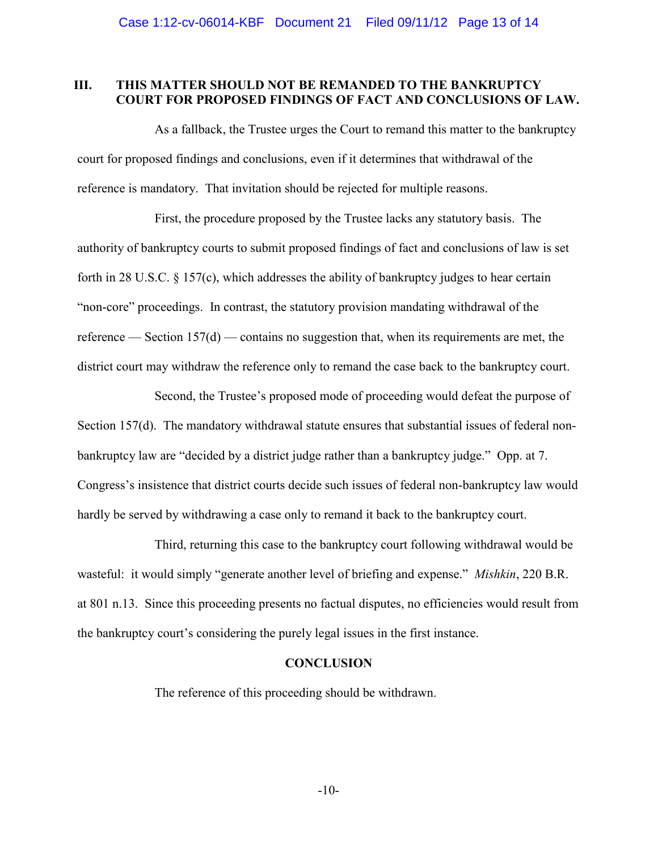#### <span id="page-12-0"></span>**III. THIS MATTER SHOULD NOT BE REMANDED TO THE BANKRUPTCY COURT FOR PROPOSED FINDINGS OF FACT AND CONCLUSIONS OF LAW.**

As a fallback, the Trustee urges the Court to remand this matter to the bankruptcy court for proposed findings and conclusions, even if it determines that withdrawal of the reference is mandatory. That invitation should be rejected for multiple reasons.

First, the procedure proposed by the Trustee lacks any statutory basis. The authority of bankruptcy courts to submit proposed findings of fact and conclusions of law is set forth in 28 U.S.C. § 157(c), which addresses the ability of bankruptcy judges to hear certain "non-core" proceedings. In contrast, the statutory provision mandating withdrawal of the reference — Section 157(d) — contains no suggestion that, when its requirements are met, the district court may withdraw the reference only to remand the case back to the bankruptcy court.

Second, the Trustee's proposed mode of proceeding would defeat the purpose of Section 157(d). The mandatory withdrawal statute ensures that substantial issues of federal nonbankruptcy law are "decided by a district judge rather than a bankruptcy judge." Opp. at 7. Congress's insistence that district courts decide such issues of federal non-bankruptcy law would hardly be served by withdrawing a case only to remand it back to the bankruptcy court.

Third, returning this case to the bankruptcy court following withdrawal would be wasteful: it would simply "generate another level of briefing and expense." *Mishkin*, 220 B.R. at 801 n.13. Since this proceeding presents no factual disputes, no efficiencies would result from the bankruptcy court's considering the purely legal issues in the first instance.

#### **CONCLUSION**

<span id="page-12-1"></span>The reference of this proceeding should be withdrawn.